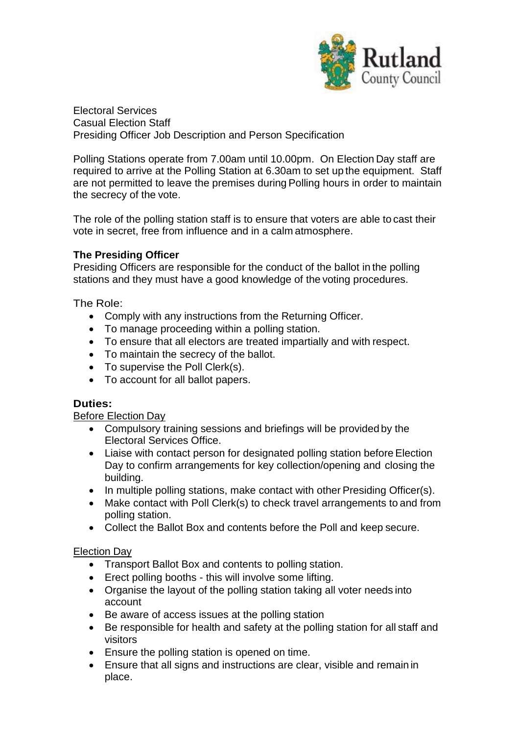

Electoral Services Casual Election Staff Presiding Officer Job Description and Person Specification

Polling Stations operate from 7.00am until 10.00pm. On Election Day staff are required to arrive at the Polling Station at 6.30am to set up the equipment. Staff are not permitted to leave the premises during Polling hours in order to maintain the secrecy of the vote.

The role of the polling station staff is to ensure that voters are able to cast their vote in secret, free from influence and in a calm atmosphere.

## **The Presiding Officer**

Presiding Officers are responsible for the conduct of the ballot in the polling stations and they must have a good knowledge of the voting procedures.

The Role:

- Comply with any instructions from the Returning Officer.
- To manage proceeding within a polling station.
- To ensure that all electors are treated impartially and with respect.
- To maintain the secrecy of the ballot.
- To supervise the Poll Clerk(s).
- To account for all ballot papers.

#### **Duties:**

Before Election Day

- Compulsory training sessions and briefings will be provided by the Electoral Services Office.
- Liaise with contact person for designated polling station before Election Day to confirm arrangements for key collection/opening and closing the building.
- In multiple polling stations, make contact with other Presiding Officer(s).
- Make contact with Poll Clerk(s) to check travel arrangements to and from polling station.
- Collect the Ballot Box and contents before the Poll and keep secure.

#### Election Day

- Transport Ballot Box and contents to polling station.
- Erect polling booths this will involve some lifting.
- Organise the layout of the polling station taking all voter needs into account
- Be aware of access issues at the polling station
- Be responsible for health and safety at the polling station for all staff and visitors
- Ensure the polling station is opened on time.
- Ensure that all signs and instructions are clear, visible and remain in place.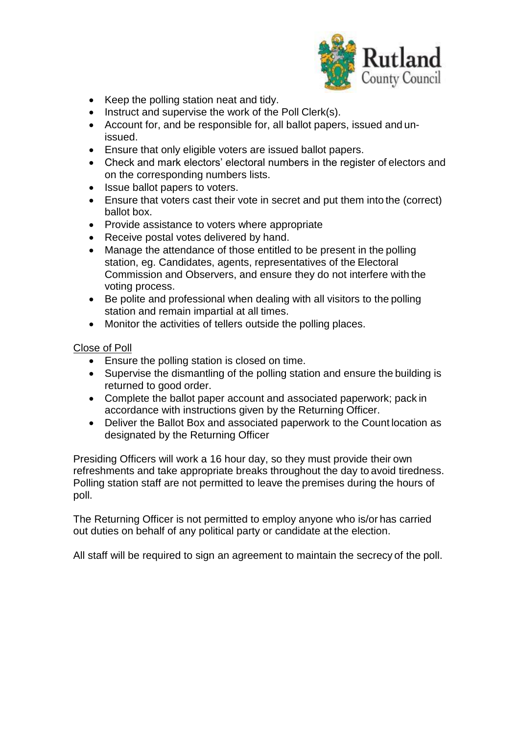

- Keep the polling station neat and tidy.
- Instruct and supervise the work of the Poll Clerk(s).
- Account for, and be responsible for, all ballot papers, issued and unissued.
- Ensure that only eligible voters are issued ballot papers.
- Check and mark electors' electoral numbers in the register of electors and on the corresponding numbers lists.
- Issue ballot papers to voters.
- Ensure that voters cast their vote in secret and put them into the (correct) ballot box.
- Provide assistance to voters where appropriate
- Receive postal votes delivered by hand.
- Manage the attendance of those entitled to be present in the polling station, eg. Candidates, agents, representatives of the Electoral Commission and Observers, and ensure they do not interfere with the voting process.
- Be polite and professional when dealing with all visitors to the polling station and remain impartial at all times.
- Monitor the activities of tellers outside the polling places.

### Close of Poll

- Ensure the polling station is closed on time.
- Supervise the dismantling of the polling station and ensure the building is returned to good order.
- Complete the ballot paper account and associated paperwork; pack in accordance with instructions given by the Returning Officer.
- Deliver the Ballot Box and associated paperwork to the Count location as designated by the Returning Officer

Presiding Officers will work a 16 hour day, so they must provide their own refreshments and take appropriate breaks throughout the day to avoid tiredness. Polling station staff are not permitted to leave the premises during the hours of poll.

The Returning Officer is not permitted to employ anyone who is/or has carried out duties on behalf of any political party or candidate at the election.

All staff will be required to sign an agreement to maintain the secrecy of the poll.